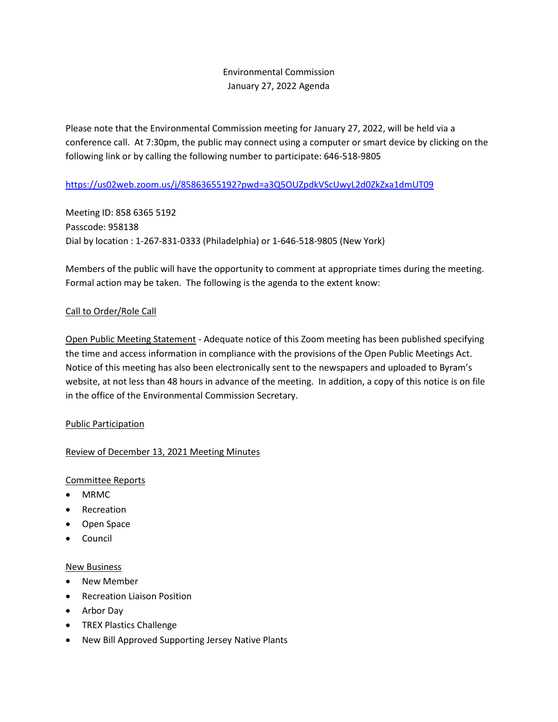### Environmental Commission January 27, 2022 Agenda

Please note that the Environmental Commission meeting for January 27, 2022, will be held via a conference call. At 7:30pm, the public may connect using a computer or smart device by clicking on the following link or by calling the following number to participate: 646-518-9805

### <https://us02web.zoom.us/j/85863655192?pwd=a3Q5OUZpdkVScUwyL2d0ZkZxa1dmUT09>

Meeting ID: 858 6365 5192 Passcode: 958138 Dial by location : 1-267-831-0333 (Philadelphia) or 1-646-518-9805 (New York)

Members of the public will have the opportunity to comment at appropriate times during the meeting. Formal action may be taken. The following is the agenda to the extent know:

### Call to Order/Role Call

Open Public Meeting Statement - Adequate notice of this Zoom meeting has been published specifying the time and access information in compliance with the provisions of the Open Public Meetings Act. Notice of this meeting has also been electronically sent to the newspapers and uploaded to Byram's website, at not less than 48 hours in advance of the meeting. In addition, a copy of this notice is on file in the office of the Environmental Commission Secretary.

### Public Participation

### Review of December 13, 2021 Meeting Minutes

### Committee Reports

- MRMC
- Recreation
- Open Space
- **Council**

### New Business

- New Member
- Recreation Liaison Position
- Arbor Day
- TREX Plastics Challenge
- New Bill Approved Supporting Jersey Native Plants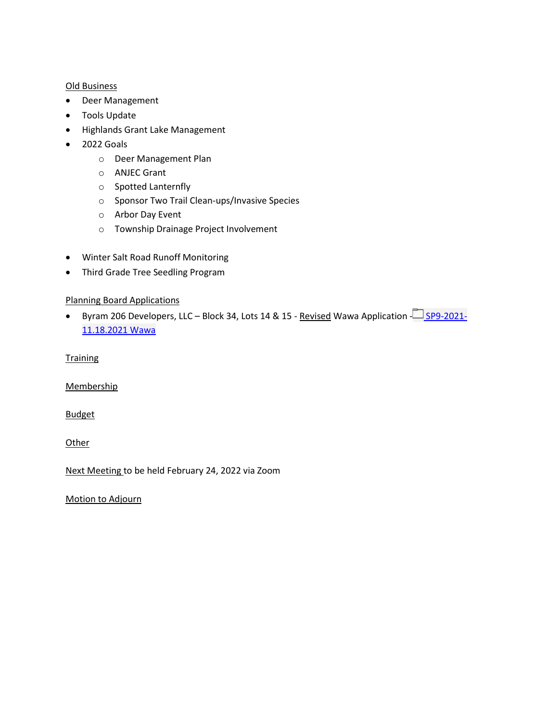### Old Business

- Deer Management
- Tools Update
- Highlands Grant Lake Management
- 2022 Goals
	- o Deer Management Plan
	- o ANJEC Grant
	- o Spotted Lanternfly
	- o Sponsor Two Trail Clean-ups/Invasive Species
	- o Arbor Day Event
	- o Township Drainage Project Involvement
- Winter Salt Road Runoff Monitoring
- Third Grade Tree Seedling Program

### Planning Board Applications

• Byram 206 Developers, LLC – Block 34, Lots 14 & 15 - Revised Wawa Application  $\Box$  [SP9-2021-](https://byrampdtwp.sharepoint.com/:f:/s/PlanningBoard/EnChSqkU7OZPgTNtkDepLe8BqSLvtsO1MfGyyk_ZXAZH-g?e=P2BFbk) [11.18.2021 Wawa](https://byrampdtwp.sharepoint.com/:f:/s/PlanningBoard/EnChSqkU7OZPgTNtkDepLe8BqSLvtsO1MfGyyk_ZXAZH-g?e=P2BFbk)

**Training** 

**Membership** 

**Budget** 

**Other** 

Next Meeting to be held February 24, 2022 via Zoom

Motion to Adjourn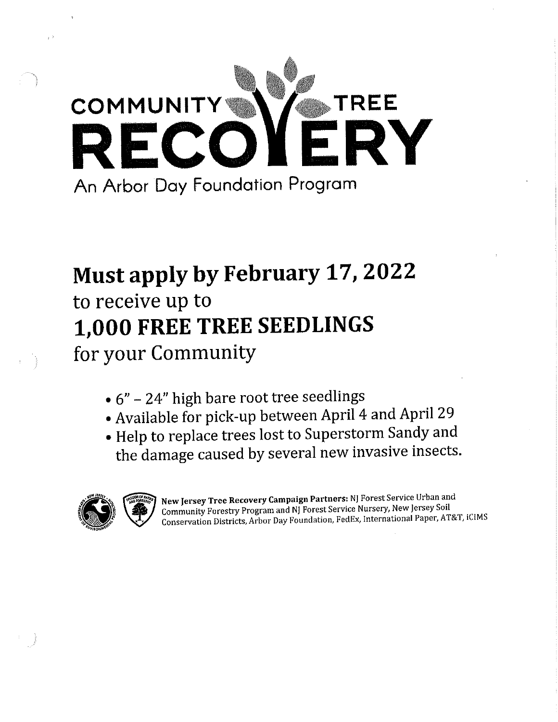

# Must apply by February 17, 2022

to receive up to 1,000 FREE TREE SEEDLINGS for your Community

- $\bullet$  6" 24" high bare root tree seedlings
- Available for pick-up between April 4 and April 29
- . Help to replace trees lost to Superstorm Sandy and the damage caused by several new invasive insects.



New Jersey Tree Recovery Campaign Partners: NJ Forest Service Urban and Community Forestry Program and NJ Forest Service Nursery, New Jersey Soil Conservation Districts, Arbor Day Foundation, FedEx, International Paper, AT&T, iCIMS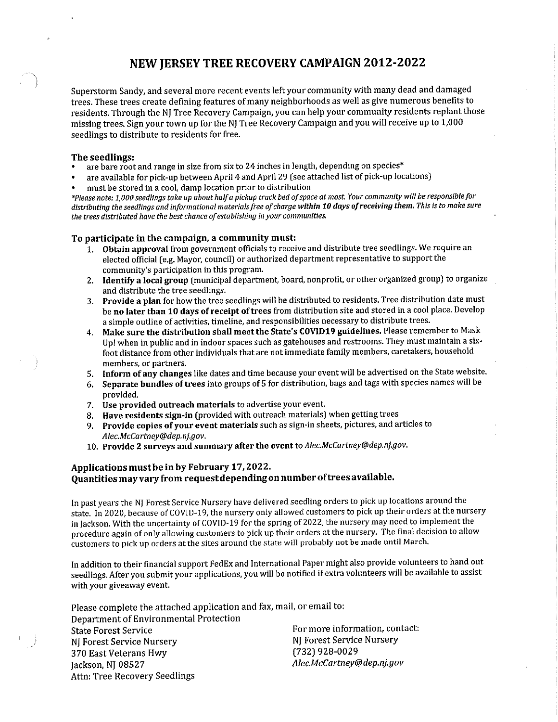### NEW JERSEY TREE RECOVERY CAMPAIGN 2012-2022

Superstorm Sandy, and several more recent events left your community with many dead and damaged trees. These trees create defining features of many neighborhoods as well as give numerous benefits to residents. Through the NI Tree Recovery Campaign, you can help your community residents replant those missing trees. Sign your town up for the NJ Tree Recovery Campaign and you will receive up to 1,000 seedlings to distribute to residents for free.

### The seedlings:

- are bare root and range in size from six to 24 inches in length, depending on species\*
- are available for pick-up between April 4 and April 29 (see attached list of pick-up locations)
- must be stored in a cool, damp location prior to distribution

\*Please note: 1,000 seedlings take up about half a pickup truck bed of space at most. Your community will be responsible for distributing the seedlings and informational materials free of charge within 10 days of receiving them. This is to make sure the trees distributed have the best chance of establishing in your communities.

### To participate in the campaign, a community must:

- 1. Obtain approval from government officials to receive and distribute tree seedlings. We require an elected official (e.g. Mayor, council) or authorized department representative to support the community's participation in this program.
- 2. Identify a local group (municipal department, board, nonprofit, or other organized group) to organize and distribute the tree seedlings.
- 3. Provide a plan for how the tree seedlings will be distributed to residents. Tree distribution date must be no later than 10 days of receipt of trees from distribution site and stored in a cool place. Develop a simple outline of activities, timeline, and responsibilities necessary to distribute trees.
- 4. Make sure the distribution shall meet the State's COVID19 guidelines. Please remember to Mask Up! when in public and in indoor spaces such as gatehouses and restrooms. They must maintain a sixfoot distance from other individuals that are not immediate family members, caretakers, household members, or partners.
- 5. Inform of any changes like dates and time because your event will be advertised on the State website.
- 6. Separate bundles of trees into groups of 5 for distribution, bags and tags with species names will be provided.
- 7. Use provided outreach materials to advertise your event.
- 8. Have residents sign-in (provided with outreach materials) when getting trees
- 9. Provide copies of your event materials such as sign-in sheets, pictures, and articles to Alec.McCartney@dep.nj.gov.
- 10. Provide 2 surveys and summary after the event to Alec.McCartney@dep.nj.gov.

### Applications must be in by February 17, 2022. Quantities may vary from request depending on number of trees available.

In past years the NJ Forest Service Nursery have delivered seedling orders to pick up locations around the state. In 2020, because of COVID-19, the nursery only allowed customers to pick up their orders at the nursery in Jackson. With the uncertainty of COVID-19 for the spring of 2022, the nursery may need to implement the procedure again of only allowing customers to pick up their orders at the nursery. The final decision to allow customers to pick up orders at the sites around the state will probably not be made until March.

In addition to their financial support FedEx and International Paper might also provide volunteers to hand out seedlings. After you submit your applications, you will be notified if extra volunteers will be available to assist with your giveaway event.

Please complete the attached application and fax, mail, or email to: Department of Environmental Protection For more information, contact: **State Forest Service** NJ Forest Service Nursery NJ Forest Service Nursery (732) 928-0029 370 East Veterans Hwy Alec.McCartney@dep.nj.gov Jackson, NJ 08527

Attn: Tree Recovery Seedlings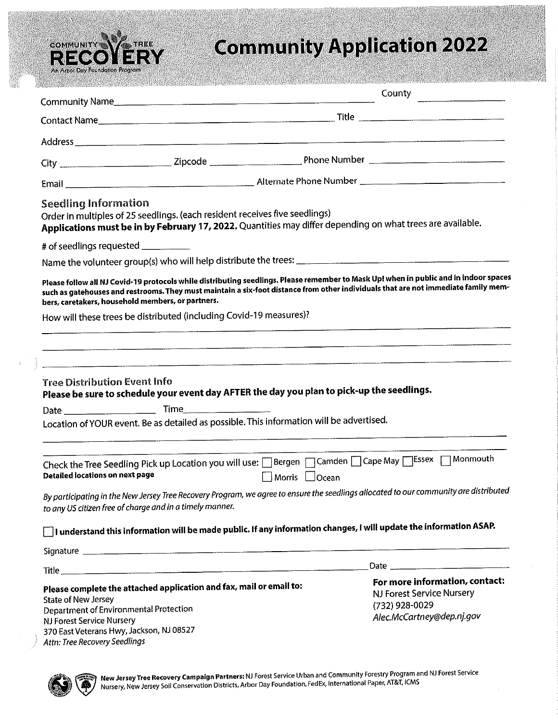

# **Community Application 2022**

| Community Name                                                                                                                                                                 |                                                                                          | County                                                                                                                                                                                                                                                                      |  |  |  |  |  |  |
|--------------------------------------------------------------------------------------------------------------------------------------------------------------------------------|------------------------------------------------------------------------------------------|-----------------------------------------------------------------------------------------------------------------------------------------------------------------------------------------------------------------------------------------------------------------------------|--|--|--|--|--|--|
|                                                                                                                                                                                |                                                                                          |                                                                                                                                                                                                                                                                             |  |  |  |  |  |  |
|                                                                                                                                                                                |                                                                                          |                                                                                                                                                                                                                                                                             |  |  |  |  |  |  |
|                                                                                                                                                                                |                                                                                          |                                                                                                                                                                                                                                                                             |  |  |  |  |  |  |
|                                                                                                                                                                                |                                                                                          |                                                                                                                                                                                                                                                                             |  |  |  |  |  |  |
| <b>Seedling Information</b>                                                                                                                                                    | Order in multiples of 25 seedlings. (each resident receives five seedlings)              | Applications must be in by February 17, 2022. Quantities may differ depending on what trees are available.                                                                                                                                                                  |  |  |  |  |  |  |
| # of seedlings requested __________                                                                                                                                            |                                                                                          |                                                                                                                                                                                                                                                                             |  |  |  |  |  |  |
|                                                                                                                                                                                |                                                                                          |                                                                                                                                                                                                                                                                             |  |  |  |  |  |  |
|                                                                                                                                                                                | bers, caretakers, household members, or partners.                                        | Please follow all NJ Covid-19 protocols while distributing seedlings. Please remember to Mask Up! when in public and in indoor spaces<br>such as gatehouses and restrooms. They must maintain a six-foot distance from other individuals that are not immediate family mem- |  |  |  |  |  |  |
|                                                                                                                                                                                | How will these trees be distributed (including Covid-19 measures)?                       |                                                                                                                                                                                                                                                                             |  |  |  |  |  |  |
|                                                                                                                                                                                |                                                                                          |                                                                                                                                                                                                                                                                             |  |  |  |  |  |  |
|                                                                                                                                                                                |                                                                                          |                                                                                                                                                                                                                                                                             |  |  |  |  |  |  |
| <b>Tree Distribution Event Info</b>                                                                                                                                            |                                                                                          | Please be sure to schedule your event day AFTER the day you plan to pick-up the seedlings.                                                                                                                                                                                  |  |  |  |  |  |  |
|                                                                                                                                                                                |                                                                                          |                                                                                                                                                                                                                                                                             |  |  |  |  |  |  |
|                                                                                                                                                                                | Location of YOUR event. Be as detailed as possible. This information will be advertised. |                                                                                                                                                                                                                                                                             |  |  |  |  |  |  |
| <b>Detailed locations on next page</b>                                                                                                                                         |                                                                                          | Check the Tree Seedling Pick up Location you will use: □ Bergen □ Camden □ Cape May □ Essex □ Monmouth<br>Morris □Ocean                                                                                                                                                     |  |  |  |  |  |  |
|                                                                                                                                                                                | to any US citizen free of charge and in a timely manner.                                 | By participating in the New Jersey Tree Recovery Program, we agree to ensure the seedlings allocated to our community are distributed                                                                                                                                       |  |  |  |  |  |  |
|                                                                                                                                                                                |                                                                                          | $\Box$ I understand this information will be made public. If any information changes, I will update the information ASAP.                                                                                                                                                   |  |  |  |  |  |  |
|                                                                                                                                                                                |                                                                                          |                                                                                                                                                                                                                                                                             |  |  |  |  |  |  |
|                                                                                                                                                                                |                                                                                          |                                                                                                                                                                                                                                                                             |  |  |  |  |  |  |
| <b>State of New Jersey</b><br>Department of Environmental Protection<br>NJ Forest Service Nursery<br>370 East Veterans Hwy, Jackson, NJ 08527<br>Attn: Tree Recovery Seedlings | Please complete the attached application and fax, mail or email to:                      | For more information, contact:<br>NJ Forest Service Nursery<br>(732) 928-0029<br>Alec.McCartney@dep.nj.gov                                                                                                                                                                  |  |  |  |  |  |  |

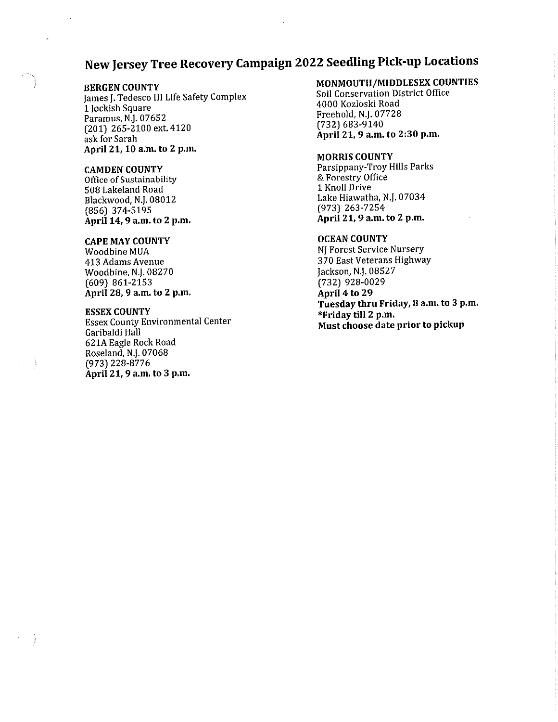### New Jersey Tree Recovery Campaign 2022 Seedling Pick-up Locations

### **BERGEN COUNTY**

James J. Tedesco III Life Safety Complex 1 Jockish Square Paramus, N.J. 07652 (201) 265-2100 ext. 4120 ask for Sarah April 21, 10 a.m. to 2 p.m.

### **CAMDEN COUNTY**

Office of Sustainability 508 Lakeland Road Blackwood, N.J. 08012  $(856)$  374-5195 April 14, 9 a.m. to 2 p.m.

### **CAPE MAY COUNTY**

Woodbine MUA 413 Adams Avenue Woodbine, N.J. 08270  $(609)$  861-2153 April 28, 9 a.m. to 2 p.m.

### **ESSEX COUNTY**

**Essex County Environmental Center** Garibaldi Hall 621A Eagle Rock Road Roseland, N.J. 07068 (973) 228-8776 April 21, 9 a.m. to 3 p.m.

### MONMOUTH/MIDDLESEX COUNTIES

Soil Conservation District Office 4000 Kozloski Road Freehold, N.J. 07728 (732) 683-9140 April 21, 9 a.m. to 2:30 p.m.

### **MORRIS COUNTY**

Parsippany-Troy Hills Parks & Forestry Office 1 Knoll Drive Lake Hiawatha, N.J. 07034  $(973)$  263-7254 April 21, 9 a.m. to 2 p.m.

### **OCEAN COUNTY**

NJ Forest Service Nursery 370 East Veterans Highway Jackson, N.J. 08527 (732) 928-0029 April 4 to 29 Tuesday thru Friday, 8 a.m. to 3 p.m. \*Friday till 2 p.m. Must choose date prior to pickup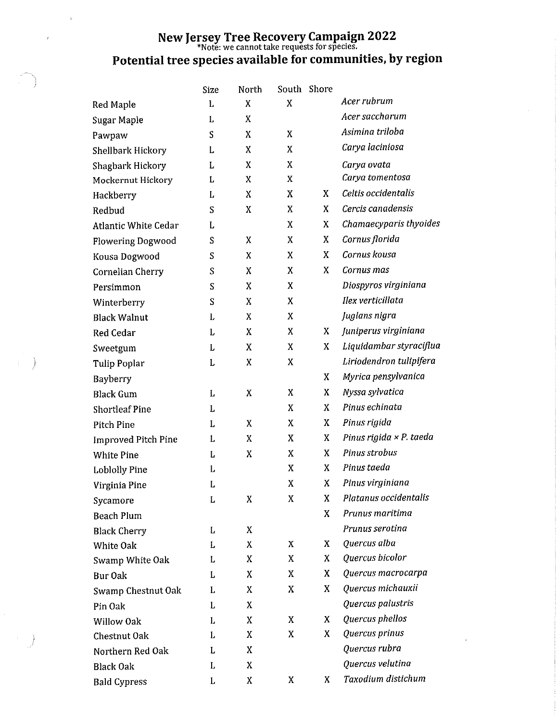## New Jersey Tree Recovery Campaign 2022 Potential tree species available for communities, by region

|                             | <b>Size</b> | North            | South | Shore |                         |
|-----------------------------|-------------|------------------|-------|-------|-------------------------|
| <b>Red Maple</b>            | L           | X                | X     |       | Acer rubrum             |
| Sugar Maple                 | L           | X                |       |       | Acer saccharum          |
| Pawpaw                      | S           | X                | X     |       | Asimina triloba         |
| Shellbark Hickory           | L           | X                | X     |       | Carya laciniosa         |
| Shagbark Hickory            | L           | X                | X     |       | Carya ovata             |
| Mockernut Hickory           | L           | $\boldsymbol{X}$ | X     |       | Carya tomentosa         |
| Hackberry                   | L           | X                | X     | X     | Celtis occidentalis     |
| Redbud                      | S           | X                | X     | X     | Cercis canadensis       |
| <b>Atlantic White Cedar</b> | L           |                  | X     | X     | Chamaecyparis thyoides  |
| <b>Flowering Dogwood</b>    | S           | X                | X     | X     | Cornus florida          |
| Kousa Dogwood               | S           | X                | X     | X     | Cornus kousa            |
| Cornelian Cherry            | S           | X                | X     | X     | Cornus mas              |
| Persimmon                   | S           | X                | X     |       | Diospyros virginiana    |
| Winterberry                 | S           | X                | X     |       | Ilex verticillata       |
| <b>Black Walnut</b>         | L           | X                | X     |       | Juglans nigra           |
| Red Cedar                   | L           | X                | X     | X     | Juniperus virginiana    |
| Sweetgum                    | L           | X                | X     | X     | Liquidambar styraciflua |
| Tulip Poplar                | L           | X                | X     |       | Liriodendron tulipifera |
| Bayberry                    |             |                  |       | X     | Myrica pensylvanica     |
| <b>Black Gum</b>            | L           | X                | X     | X     | Nyssa sylvatica         |
| <b>Shortleaf Pine</b>       | L           |                  | X     | X     | Pinus echinata          |
| Pitch Pine                  | L           | X                | X     | X     | Pinus rigida            |
| Improved Pitch Pine         | L           | X                | X     | X     | Pinus rigida × P. taeda |
| <b>White Pine</b>           | L           | X                | X     | X     | Pinus strobus           |
| <b>Loblolly Pine</b>        | L           |                  | X     | X     | Pinus taeda             |
| Virginia Pine               | L           |                  | X     | X     | Pinus virginiana        |
| Sycamore                    | L           | X                | X     | X     | Platanus occidentalis   |
| <b>Beach Plum</b>           |             |                  |       | X     | Prunus maritima         |
| <b>Black Cherry</b>         | L           | X                |       |       | Prunus serotina         |
| <b>White Oak</b>            | L           | X                | X     | X     | Quercus alba            |
| Swamp White Oak             | L           | X                | X     | X     | Quercus bicolor         |
| Bur Oak                     | L           | X                | X     | X     | Quercus macrocarpa      |
| Swamp Chestnut Oak          | L           | X                | X     | X     | Quercus michauxii       |
| Pin Oak                     | L           | X                |       |       | Quercus palustris       |
| Willow Oak                  | L           | X                | X     | X     | Quercus phellos         |
| Chestnut Oak                | L           | X                | X     | X     | Quercus prinus          |
| Northern Red Oak            | L           | X                |       |       | Quercus rubra           |
| <b>Black Oak</b>            | L           | X                |       |       | Quercus velutina        |
| <b>Bald Cypress</b>         | L           | Χ                | X     | X.    | Taxodium distichum      |

 $\mathbb{R}^n$  )

 $\mathbf{r}$ 

 $\epsilon$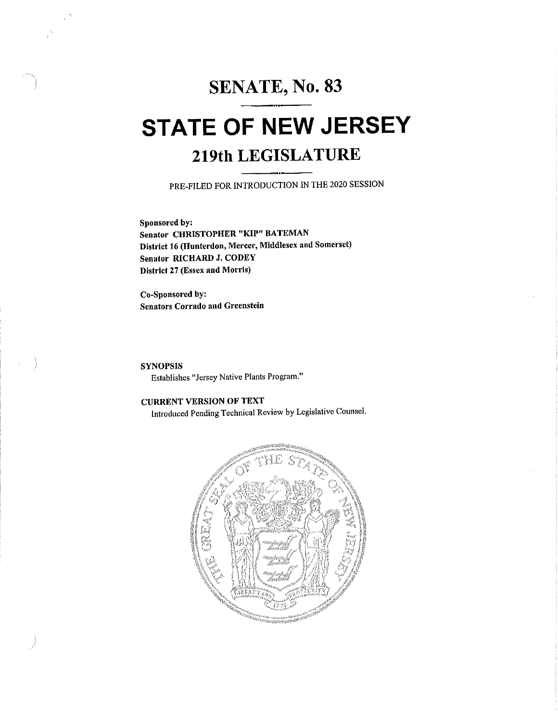## SENATE, No. 83

## **STATE OF NEW JERSEY** 219th LEGISLATURE

PRE-FILED FOR INTRODUCTION IN THE 2020 SESSION

Sponsored by: **Senator CHRISTOPHER "KIP" BATEMAN** District 16 (Hunterdon, Mercer, Middlesex and Somerset) Senator RICHARD J. CODEY District 27 (Essex and Morris)

Co-Sponsored by: **Senators Corrado and Greenstein** 

**SYNOPSIS** Establishes "Jersey Native Plants Program."

### **CURRENT VERSION OF TEXT**

Introduced Pending Technical Review by Legislative Counsel.

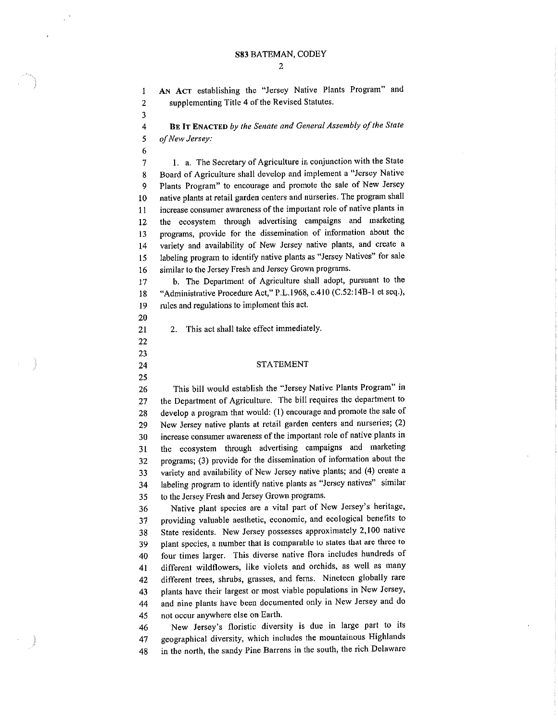AN ACT establishing the "Jersey Native Plants Program" and supplementing Title 4 of the Revised Statutes.

3  $\overline{4}$ 

 $\mathbbm{1}$ 

 $\overline{2}$ 

5

 $\boldsymbol{6}$ 

BE IT ENACTED by the Senate and General Assembly of the State of New Jersey:

1. a. The Secretary of Agriculture in conjunction with the State  $\overline{7}$ Board of Agriculture shall develop and implement a "Jersey Native 8 Plants Program" to encourage and promote the sale of New Jersey 9 native plants at retail garden centers and nurseries. The program shall 10 increase consumer awareness of the important role of native plants in  $\overline{11}$ the ecosystem through advertising campaigns and marketing  $12$ programs, provide for the dissemination of information about the 13 variety and availability of New Jersey native plants, and create a  $14$ labeling program to identify native plants as "Jersey Natives" for sale 15 similar to the Jersey Fresh and Jersey Grown programs. 16

b. The Department of Agriculture shall adopt, pursuant to the  $17$ "Administrative Procedure Act," P.L.1968, c.410 (C.52:14B-1 et seq.), 18 rules and regulations to implement this act. 19

2. This act shall take effect immediately.

20

### 22 23

21

24 25

#### **STATEMENT**

This bill would establish the "Jersey Native Plants Program" in 26 the Department of Agriculture. The bill requires the department to 27 develop a program that would: (1) encourage and promote the sale of 28 New Jersey native plants at retail garden centers and nurseries; (2) 29 increase consumer awareness of the important role of native plants in 30 the ecosystem through advertising campaigns and marketing 31 programs; (3) provide for the dissemination of information about the 32 variety and availability of New Jersey native plants; and (4) create a 33 labeling program to identify native plants as "Jersey natives" similar 34 to the Jersey Fresh and Jersey Grown programs. 35

Native plant species are a vital part of New Jersey's heritage, 36 providing valuable aesthetic, economic, and ecological benefits to 37 State residents. New Jersey possesses approximately 2,100 native 38 plant species, a number that is comparable to states that are three to 39 four times larger. This diverse native flora includes hundreds of 40 different wildflowers, like violets and orchids, as well as many 41 different trees, shrubs, grasses, and ferns. Nineteen globally rare 42 plants have their largest or most viable populations in New Jersey, 43 and nine plants have been documented only in New Jersey and do 44 not occur anywhere else on Earth. 45

New Jersey's floristic diversity is due in large part to its 46 geographical diversity, which includes the mountainous Highlands 47 in the north, the sandy Pine Barrens in the south, the rich Delaware 48